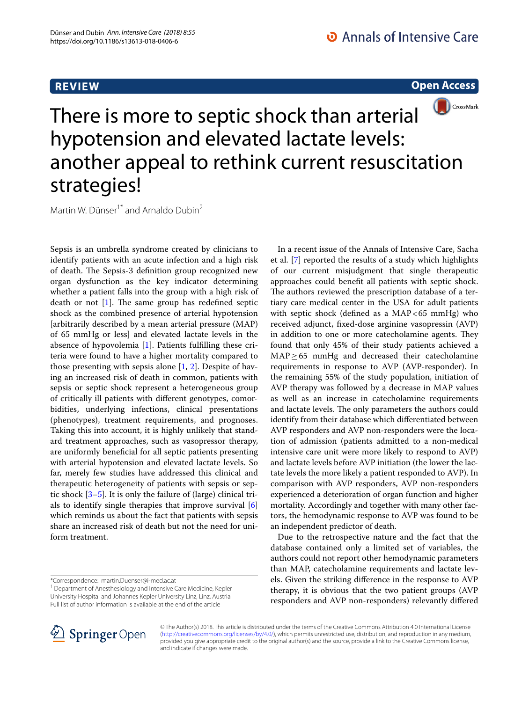# **REVIEW**

**Open Access**



# There is more to septic shock than arterial hypotension and elevated lactate levels: another appeal to rethink current resuscitation strategies!

Martin W. Dünser<sup>1\*</sup> and Arnaldo Dubin<sup>2</sup>

Sepsis is an umbrella syndrome created by clinicians to identify patients with an acute infection and a high risk of death. The Sepsis-3 definition group recognized new organ dysfunction as the key indicator determining whether a patient falls into the group with a high risk of death or not  $[1]$  $[1]$ . The same group has redefined septic shock as the combined presence of arterial hypotension [arbitrarily described by a mean arterial pressure (MAP) of 65 mmHg or less] and elevated lactate levels in the absence of hypovolemia [\[1](#page-1-0)]. Patients fulflling these criteria were found to have a higher mortality compared to those presenting with sepsis alone  $[1, 2]$  $[1, 2]$  $[1, 2]$  $[1, 2]$ . Despite of having an increased risk of death in common, patients with sepsis or septic shock represent a heterogeneous group of critically ill patients with diferent genotypes, comorbidities, underlying infections, clinical presentations (phenotypes), treatment requirements, and prognoses. Taking this into account, it is highly unlikely that standard treatment approaches, such as vasopressor therapy, are uniformly benefcial for all septic patients presenting with arterial hypotension and elevated lactate levels. So far, merely few studies have addressed this clinical and therapeutic heterogeneity of patients with sepsis or septic shock [\[3](#page-1-2)–[5\]](#page-1-3). It is only the failure of (large) clinical trials to identify single therapies that improve survival [\[6](#page-1-4)] which reminds us about the fact that patients with sepsis share an increased risk of death but not the need for uniform treatment.

<sup>1</sup> Department of Anesthesiology and Intensive Care Medicine, Kepler University Hospital and Johannes Kepler University Linz, Linz, Austria Full list of author information is available at the end of the article



Due to the retrospective nature and the fact that the database contained only a limited set of variables, the authors could not report other hemodynamic parameters than MAP, catecholamine requirements and lactate levels. Given the striking diference in the response to AVP therapy, it is obvious that the two patient groups (AVP responders and AVP non-responders) relevantly difered



© The Author(s) 2018. This article is distributed under the terms of the Creative Commons Attribution 4.0 International License [\(http://creativecommons.org/licenses/by/4.0/\)](http://creativecommons.org/licenses/by/4.0/), which permits unrestricted use, distribution, and reproduction in any medium, provided you give appropriate credit to the original author(s) and the source, provide a link to the Creative Commons license, and indicate if changes were made.

<sup>\*</sup>Correspondence: martin.Duenser@i‑med.ac.at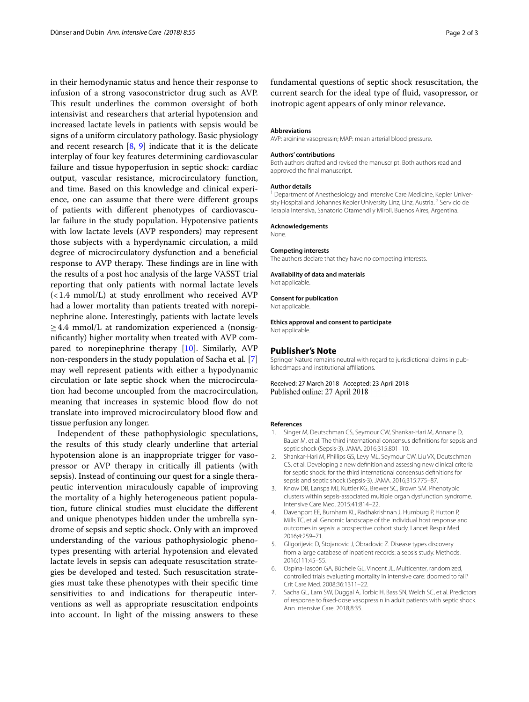in their hemodynamic status and hence their response to infusion of a strong vasoconstrictor drug such as AVP. This result underlines the common oversight of both intensivist and researchers that arterial hypotension and increased lactate levels in patients with sepsis would be signs of a uniform circulatory pathology. Basic physiology and recent research [[8,](#page-2-0) [9](#page-2-1)] indicate that it is the delicate interplay of four key features determining cardiovascular failure and tissue hypoperfusion in septic shock: cardiac output, vascular resistance, microcirculatory function, and time. Based on this knowledge and clinical experience, one can assume that there were diferent groups of patients with diferent phenotypes of cardiovascular failure in the study population. Hypotensive patients with low lactate levels (AVP responders) may represent those subjects with a hyperdynamic circulation, a mild degree of microcirculatory dysfunction and a benefcial response to AVP therapy. These findings are in line with the results of a post hoc analysis of the large VASST trial reporting that only patients with normal lactate levels (<1.4 mmol/L) at study enrollment who received AVP had a lower mortality than patients treated with norepinephrine alone. Interestingly, patients with lactate levels  $\geq$  4.4 mmol/L at randomization experienced a (nonsignifcantly) higher mortality when treated with AVP compared to norepinephrine therapy [[10\]](#page-2-2). Similarly, AVP non-responders in the study population of Sacha et al. [\[7](#page-1-5)] may well represent patients with either a hypodynamic circulation or late septic shock when the microcirculation had become uncoupled from the macrocirculation, meaning that increases in systemic blood flow do not translate into improved microcirculatory blood flow and tissue perfusion any longer.

Independent of these pathophysiologic speculations, the results of this study clearly underline that arterial hypotension alone is an inappropriate trigger for vasopressor or AVP therapy in critically ill patients (with sepsis). Instead of continuing our quest for a single therapeutic intervention miraculously capable of improving the mortality of a highly heterogeneous patient population, future clinical studies must elucidate the diferent and unique phenotypes hidden under the umbrella syndrome of sepsis and septic shock. Only with an improved understanding of the various pathophysiologic phenotypes presenting with arterial hypotension and elevated lactate levels in sepsis can adequate resuscitation strategies be developed and tested. Such resuscitation strategies must take these phenotypes with their specifc time sensitivities to and indications for therapeutic interventions as well as appropriate resuscitation endpoints into account. In light of the missing answers to these

fundamental questions of septic shock resuscitation, the current search for the ideal type of fuid, vasopressor, or inotropic agent appears of only minor relevance.

#### **Abbreviations**

AVP: arginine vasopressin: MAP: mean arterial blood pressure.

#### **Authors' contributions**

Both authors drafted and revised the manuscript. Both authors read and approved the fnal manuscript.

#### **Author details**

<sup>1</sup> Department of Anesthesiology and Intensive Care Medicine, Kepler University Hospital and Johannes Kepler University Linz, Linz, Austria.<sup>2</sup> Servicio de Terapia Intensiva, Sanatorio Otamendi y Miroli, Buenos Aires, Argentina.

## **Acknowledgements**

None.

## **Competing interests**

The authors declare that they have no competing interests.

## **Availability of data and materials**

Not applicable.

## **Consent for publication**

Not applicable.

**Ethics approval and consent to participate** Not applicable.

#### **Publisher's Note**

Springer Nature remains neutral with regard to jurisdictional claims in publishedmaps and institutional afliations.

## Received: 27 March 2018 Accepted: 23 April 2018 Published online: 27 April 2018

#### **References**

- <span id="page-1-0"></span>1. Singer M, Deutschman CS, Seymour CW, Shankar-Hari M, Annane D, Bauer M, et al. The third international consensus defnitions for sepsis and septic shock (Sepsis-3). JAMA. 2016;315:801–10.
- <span id="page-1-1"></span>2. Shankar-Hari M, Phillips GS, Levy ML, Seymour CW, Liu VX, Deutschman CS, et al. Developing a new defnition and assessing new clinical criteria for septic shock: for the third international consensus defnitions for sepsis and septic shock (Sepsis-3). JAMA. 2016;315:775–87.
- <span id="page-1-2"></span>3. Know DB, Lanspa MJ, Kuttler KG, Brewer SC, Brown SM. Phenotypic clusters within sepsis-associated multiple organ dysfunction syndrome. Intensive Care Med. 2015;41:814–22.
- 4. Davenport EE, Burnham KL, Radhakrishnan J, Humburg P, Hutton P, Mills TC, et al. Genomic landscape of the individual host response and outcomes in sepsis: a prospective cohort study. Lancet Respir Med. 2016;4:259–71.
- <span id="page-1-3"></span>5. Gligorijevic D, Stojanovic J, Obradovic Z. Disease types discovery from a large database of inpatient records: a sepsis study. Methods. 2016;111:45–55.
- <span id="page-1-4"></span>6. Ospina-Tascón GA, Büchele GL, Vincent JL. Multicenter, randomized, controlled trials evaluating mortality in intensive care: doomed to fail? Crit Care Med. 2008;36:1311–22.
- <span id="page-1-5"></span>7. Sacha GL, Lam SW, Duggal A, Torbic H, Bass SN, Welch SC, et al. Predictors of response to fxed-dose vasopressin in adult patients with septic shock. Ann Intensive Care. 2018;8:35.